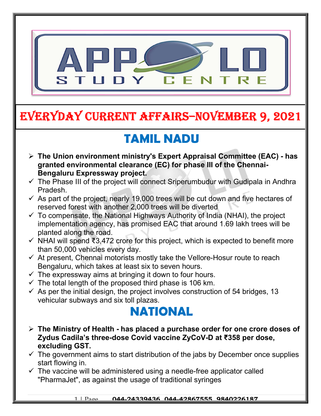

# EVERYDAY CURRENT AFFAIRS–NOVEMBER 9, 2021

## TAMIL NADU

- The Union environment ministry's Expert Appraisal Committee (EAC) has granted environmental clearance (EC) for phase III of the Chennai-Bengaluru Expressway project.
- $\checkmark$  The Phase III of the project will connect Sriperumbudur with Gudipala in Andhra Pradesh.
- $\checkmark$  As part of the project, nearly 19,000 trees will be cut down and five hectares of reserved forest with another 2,000 trees will be diverted
- $\checkmark$  To compensate, the National Highways Authority of India (NHAI), the project implementation agency, has promised EAC that around 1.69 lakh trees will be planted along the road.
- $\checkmark$  NHAI will spend ₹3,472 crore for this project, which is expected to benefit more than 50,000 vehicles every day.
- $\checkmark$  At present, Chennai motorists mostly take the Vellore-Hosur route to reach Bengaluru, which takes at least six to seven hours.
- $\checkmark$  The expressway aims at bringing it down to four hours.

-

- $\checkmark$  The total length of the proposed third phase is 106 km.
- $\checkmark$  As per the initial design, the project involves construction of 54 bridges, 13 vehicular subways and six toll plazas.

### NATIONAL

- $\triangleright$  The Ministry of Health has placed a purchase order for one crore doses of Zydus Cadila's three-dose Covid vaccine ZyCoV-D at ₹358 per dose, excluding GST.
- $\checkmark$  The government aims to start distribution of the jabs by December once supplies start flowing in.
- $\checkmark$  The vaccine will be administered using a needle-free applicator called "PharmaJet", as against the usage of traditional syringes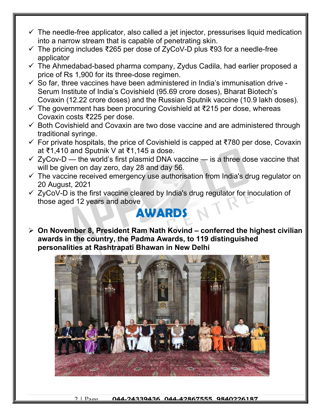- $\checkmark$  The needle-free applicator, also called a jet injector, pressurises liquid medication into a narrow stream that is capable of penetrating skin.
- The pricing includes ₹265 per dose of ZyCoV-D plus ₹93 for a needle-free applicator
- $\checkmark$  The Ahmedabad-based pharma company, Zydus Cadila, had earlier proposed a price of Rs 1,900 for its three-dose regimen.
- $\checkmark$  So far, three vaccines have been administered in India's immunisation drive -Serum Institute of India's Covishield (95.69 crore doses), Bharat Biotech's Covaxin (12.22 crore doses) and the Russian Sputnik vaccine (10.9 lakh doses).
- $\checkmark$  The government has been procuring Covishield at ₹215 per dose, whereas Covaxin costs ₹225 per dose.
- $\checkmark$  Both Covishield and Covaxin are two dose vaccine and are administered through traditional syringe.
- For private hospitals, the price of Covishield is capped at ₹780 per dose, Covaxin at ₹1,410 and Sputnik V at ₹1,145 a dose.
- $\checkmark$  ZyCov-D the world's first plasmid DNA vaccine is a three dose vaccine that will be given on day zero, day 28 and day 56.
- $\checkmark$  The vaccine received emergency use authorisation from India's drug regulator on 20 August, 2021
- $\checkmark$  ZyCoV-D is the first vaccine cleared by India's drug regulator for inoculation of those aged 12 years and above

#### **AWARDS**

 $\geq$  On November 8, President Ram Nath Kovind – conferred the highest civilian awards in the country, the Padma Awards, to 119 distinguished personalities at Rashtrapati Bhawan in New Delhi

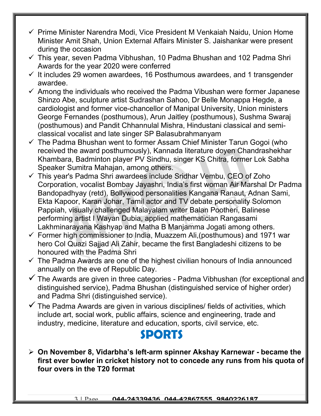- $\checkmark$  Prime Minister Narendra Modi, Vice President M Venkaiah Naidu, Union Home Minister Amit Shah, Union External Affairs Minister S. Jaishankar were present during the occasion
- $\checkmark$  This year, seven Padma Vibhushan, 10 Padma Bhushan and 102 Padma Shri Awards for the year 2020 were conferred
- $\checkmark$  It includes 29 women awardees, 16 Posthumous awardees, and 1 transgender awardee.
- $\checkmark$  Among the individuals who received the Padma Vibushan were former Japanese Shinzo Abe, sculpture artist Sudrashan Sahoo, Dr Belle Monappa Hegde, a cardiologist and former vice-chancellor of Manipal University, Union ministers George Fernandes (posthumous), Arun Jaitley (posthumous), Sushma Swaraj (posthumous) and Pandit Chhannulal Mishra, Hindustani classical and semiclassical vocalist and late singer SP Balasubrahmanyam
- $\checkmark$  The Padma Bhushan went to former Assam Chief Minister Tarun Gogoi (who received the award posthumously), Kannada literature doyen Chandrashekhar Khambara, Badminton player PV Sindhu, singer KS Chitra, former Lok Sabha Speaker Sumitra Mahajan, among others.
- This year's Padma Shri awardees include Sridhar Vembu, CEO of Zoho Corporation, vocalist Bombay Jayashri, India's first woman Air Marshal Dr Padma Bandopadhyay (retd), Bollywood personalities Kangana Ranaut, Adnan Sami, Ekta Kapoor, Karan Johar, Tamil actor and TV debate personality Solomon Pappiah, visually challenged Malayalam writer Balan Pootheri, Balinese performing artist I Wayan Dubia, applied mathematician Rangasami Lakhminarayana Kashyap and Matha B Manjamma Jogati among others.
- $\checkmark$  Former high commissioner to India, Muazzem Ali, (posthumous) and 1971 war hero Col Quazi Sajjad Ali Zahir, became the first Bangladeshi citizens to be honoured with the Padma Shri
- $\checkmark$  The Padma Awards are one of the highest civilian honours of India announced annually on the eve of Republic Day.
- $\checkmark$  The Awards are given in three categories Padma Vibhushan (for exceptional and distinguished service), Padma Bhushan (distinguished service of higher order) and Padma Shri (distinguished service).
- $\checkmark$  The Padma Awards are given in various disciplines/ fields of activities, which include art, social work, public affairs, science and engineering, trade and industry, medicine, literature and education, sports, civil service, etc.

#### SPORTS

 On November 8, Vidarbha's left-arm spinner Akshay Karnewar - became the first ever bowler in cricket history not to concede any runs from his quota of four overs in the T20 format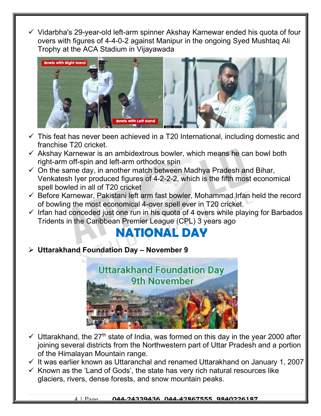Vidarbha's 29-year-old left-arm spinner Akshay Karnewar ended his quota of four overs with figures of 4-4-0-2 against Manipur in the ongoing Syed Mushtaq Ali Trophy at the ACA Stadium in Vijayawada



- $\checkmark$  This feat has never been achieved in a T20 International, including domestic and franchise T20 cricket.
- $\checkmark$  Akshay Karnewar is an ambidextrous bowler, which means he can bowl both right-arm off-spin and left-arm orthodox spin
- $\checkmark$  On the same day, in another match between Madhya Pradesh and Bihar, Venkatesh Iyer produced figures of 4-2-2-2, which is the fifth most economical spell bowled in all of T20 cricket
- $\checkmark$  Before Karnewar, Pakistani left arm fast bowler, Mohammad Irfan held the record of bowling the most economical 4-over spell ever in T20 cricket.
- $\checkmark$  Irfan had conceded just one run in his quota of 4 overs while playing for Barbados Tridents in the Caribbean Premier League (CPL) 3 years ago

### NATIONAL DAY

 $\triangleright$  Uttarakhand Foundation Day - November 9



- $\checkmark$  Uttarakhand, the 27<sup>th</sup> state of India, was formed on this day in the year 2000 after joining several districts from the Northwestern part of Uttar Pradesh and a portion of the Himalayan Mountain range.
- $\checkmark$  It was earlier known as Uttaranchal and renamed Uttarakhand on January 1, 2007
- $\checkmark$  Known as the 'Land of Gods', the state has very rich natural resources like glaciers, rivers, dense forests, and snow mountain peaks.